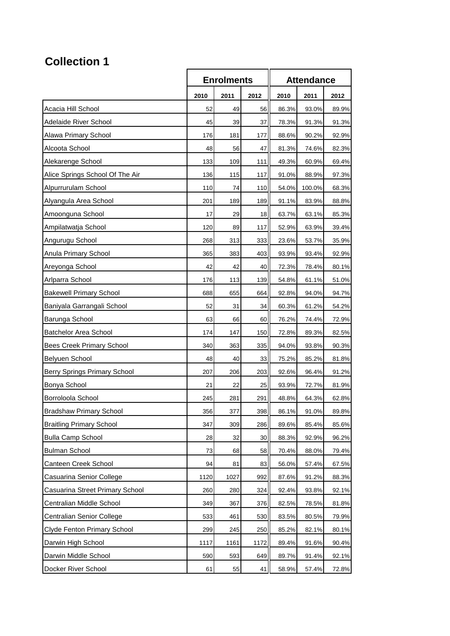## **Collection 1**

|                                    | <b>Enrolments</b> |      |      | <b>Attendance</b> |        |       |
|------------------------------------|-------------------|------|------|-------------------|--------|-------|
|                                    | 2010              | 2011 | 2012 | 2010              | 2011   | 2012  |
| Acacia Hill School                 | 52                | 49   | 56   | 86.3%             | 93.0%  | 89.9% |
| Adelaide River School              | 45                | 39   | 37   | 78.3%             | 91.3%  | 91.3% |
| Alawa Primary School               | 176               | 181  | 177  | 88.6%             | 90.2%  | 92.9% |
| Alcoota School                     | 48                | 56   | 47   | 81.3%             | 74.6%  | 82.3% |
| Alekarenge School                  | 133               | 109  | 111  | 49.3%             | 60.9%  | 69.4% |
| Alice Springs School Of The Air    | 136               | 115  | 117  | 91.0%             | 88.9%  | 97.3% |
| Alpurrurulam School                | 110               | 74   | 110  | 54.0%             | 100.0% | 68.3% |
| Alyangula Area School              | 201               | 189  | 189  | 91.1%             | 83.9%  | 88.8% |
| Amoonguna School                   | 17                | 29   | 18   | 63.7%             | 63.1%  | 85.3% |
| Ampilatwatja School                | 120               | 89   | 117  | 52.9%             | 63.9%  | 39.4% |
| Angurugu School                    | 268               | 313  | 333  | 23.6%             | 53.7%  | 35.9% |
| Anula Primary School               | 365               | 383  | 403  | 93.9%             | 93.4%  | 92.9% |
| Areyonga School                    | 42                | 42   | 40   | 72.3%             | 78.4%  | 80.1% |
| Arlparra School                    | 176               | 113  | 139  | 54.8%             | 61.1%  | 51.0% |
| <b>Bakewell Primary School</b>     | 688               | 655  | 664  | 92.8%             | 94.0%  | 94.7% |
| Baniyala Garrangali School         | 52                | 31   | 34   | 60.3%             | 61.2%  | 54.2% |
| Barunga School                     | 63                | 66   | 60   | 76.2%             | 74.4%  | 72.9% |
| <b>Batchelor Area School</b>       | 174               | 147  | 150  | 72.8%             | 89.3%  | 82.5% |
| <b>Bees Creek Primary School</b>   | 340               | 363  | 335  | 94.0%             | 93.8%  | 90.3% |
| Belyuen School                     | 48                | 40   | 33   | 75.2%             | 85.2%  | 81.8% |
| Berry Springs Primary School       | 207               | 206  | 203  | 92.6%             | 96.4%  | 91.2% |
| Bonya School                       | 21                | 22   | 25   | 93.9%             | 72.7%  | 81.9% |
| Borroloola School                  | 245               | 281  | 291  | 48.8%             | 64.3%  | 62.8% |
| Bradshaw Primary School            | 356               | 377  | 398  | 86.1%             | 91.0%  | 89.8% |
| <b>Braitling Primary School</b>    | 347               | 309  | 286  | 89.6%             | 85.4%  | 85.6% |
| <b>Bulla Camp School</b>           | 28                | 32   | 30   | 88.3%             | 92.9%  | 96.2% |
| <b>Bulman School</b>               | 73                | 68   | 58   | 70.4%             | 88.0%  | 79.4% |
| Canteen Creek School               | 94                | 81   | 83   | 56.0%             | 57.4%  | 67.5% |
| Casuarina Senior College           | 1120              | 1027 | 992  | 87.6%             | 91.2%  | 88.3% |
| Casuarina Street Primary School    | 260               | 280  | 324  | 92.4%             | 93.8%  | 92.1% |
| Centralian Middle School           | 349               | 367  | 376  | 82.5%             | 78.5%  | 81.8% |
| Centralian Senior College          | 533               | 461  | 530  | 83.5%             | 80.5%  | 79.9% |
| <b>Clyde Fenton Primary School</b> | 299               | 245  | 250  | 85.2%             | 82.1%  | 80.1% |
| Darwin High School                 | 1117              | 1161 | 1172 | 89.4%             | 91.6%  | 90.4% |
| Darwin Middle School               | 590               | 593  | 649  | 89.7%             | 91.4%  | 92.1% |
| Docker River School                | 61                | 55   | 41   | 58.9%             | 57.4%  | 72.8% |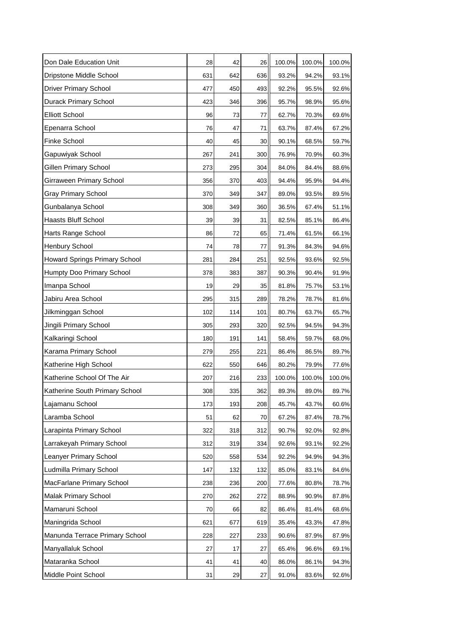| Don Dale Education Unit              | 28  | 42  | 26  | 100.0% | 100.0% | 100.0% |
|--------------------------------------|-----|-----|-----|--------|--------|--------|
| Dripstone Middle School              | 631 | 642 | 636 | 93.2%  | 94.2%  | 93.1%  |
| <b>Driver Primary School</b>         | 477 | 450 | 493 | 92.2%  | 95.5%  | 92.6%  |
| Durack Primary School                | 423 | 346 | 396 | 95.7%  | 98.9%  | 95.6%  |
| <b>Elliott School</b>                | 96  | 73  | 77  | 62.7%  | 70.3%  | 69.6%  |
| Epenarra School                      | 76  | 47  | 71  | 63.7%  | 87.4%  | 67.2%  |
| <b>Finke School</b>                  | 40  | 45  | 30  | 90.1%  | 68.5%  | 59.7%  |
| Gapuwiyak School                     | 267 | 241 | 300 | 76.9%  | 70.9%  | 60.3%  |
| Gillen Primary School                | 273 | 295 | 304 | 84.0%  | 84.4%  | 88.6%  |
| Girraween Primary School             | 356 | 370 | 403 | 94.4%  | 95.9%  | 94.4%  |
| <b>Gray Primary School</b>           | 370 | 349 | 347 | 89.0%  | 93.5%  | 89.5%  |
| Gunbalanya School                    | 308 | 349 | 360 | 36.5%  | 67.4%  | 51.1%  |
| <b>Haasts Bluff School</b>           | 39  | 39  | 31  | 82.5%  | 85.1%  | 86.4%  |
| Harts Range School                   | 86  | 72  | 65  | 71.4%  | 61.5%  | 66.1%  |
| <b>Henbury School</b>                | 74  | 78  | 77  | 91.3%  | 84.3%  | 94.6%  |
| <b>Howard Springs Primary School</b> | 281 | 284 | 251 | 92.5%  | 93.6%  | 92.5%  |
| Humpty Doo Primary School            | 378 | 383 | 387 | 90.3%  | 90.4%  | 91.9%  |
| Imanpa School                        | 19  | 29  | 35  | 81.8%  | 75.7%  | 53.1%  |
| Jabiru Area School                   | 295 | 315 | 289 | 78.2%  | 78.7%  | 81.6%  |
| Jilkminggan School                   | 102 | 114 | 101 | 80.7%  | 63.7%  | 65.7%  |
| Jingili Primary School               | 305 | 293 | 320 | 92.5%  | 94.5%  | 94.3%  |
| Kalkaringi School                    | 180 | 191 | 141 | 58.4%  | 59.7%  | 68.0%  |
| Karama Primary School                | 279 | 255 | 221 | 86.4%  | 86.5%  | 89.7%  |
| Katherine High School                | 622 | 550 | 646 | 80.2%  | 79.9%  | 77.6%  |
| Katherine School Of The Air          | 207 | 216 | 233 | 100.0% | 100.0% | 100.0% |
| Katherine South Primary School       | 308 | 335 | 362 | 89.3%  | 89.0%  | 89.7%  |
| Lajamanu School                      | 173 | 193 | 208 | 45.7%  | 43.7%  | 60.6%  |
| Laramba School                       | 51  | 62  | 70  | 67.2%  | 87.4%  | 78.7%  |
| Larapinta Primary School             | 322 | 318 | 312 | 90.7%  | 92.0%  | 92.8%  |
| Larrakeyah Primary School            | 312 | 319 | 334 | 92.6%  | 93.1%  | 92.2%  |
| <b>Leanyer Primary School</b>        | 520 | 558 | 534 | 92.2%  | 94.9%  | 94.3%  |
| Ludmilla Primary School              | 147 | 132 | 132 | 85.0%  | 83.1%  | 84.6%  |
| MacFarlane Primary School            | 238 | 236 | 200 | 77.6%  | 80.8%  | 78.7%  |
| Malak Primary School                 | 270 | 262 | 272 | 88.9%  | 90.9%  | 87.8%  |
| Mamaruni School                      | 70  | 66  | 82  | 86.4%  | 81.4%  | 68.6%  |
| Maningrida School                    | 621 | 677 | 619 | 35.4%  | 43.3%  | 47.8%  |
| Manunda Terrace Primary School       | 228 | 227 | 233 | 90.6%  | 87.9%  | 87.9%  |
| Manyallaluk School                   | 27  | 17  | 27  | 65.4%  | 96.6%  | 69.1%  |
| Mataranka School                     | 41  | 41  | 40  | 86.0%  | 86.1%  | 94.3%  |
| Middle Point School                  | 31  | 29  | 27  | 91.0%  | 83.6%  | 92.6%  |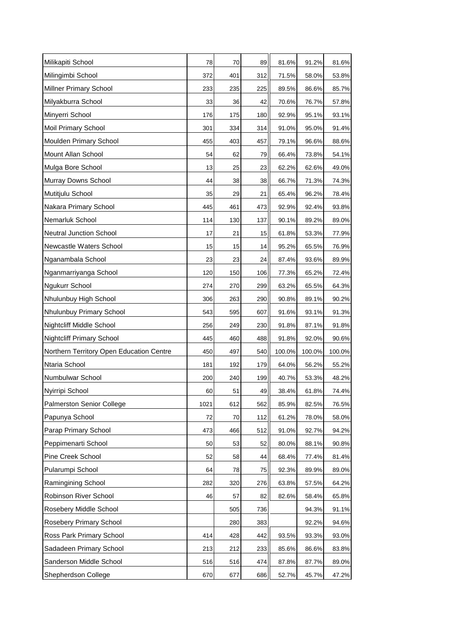| Milikapiti School                        | 78   | 70  | 89  | 81.6%  | 91.2%  | 81.6%  |
|------------------------------------------|------|-----|-----|--------|--------|--------|
| Milingimbi School                        | 372  | 401 | 312 | 71.5%  | 58.0%  | 53.8%  |
| Millner Primary School                   | 233  | 235 | 225 | 89.5%  | 86.6%  | 85.7%  |
| Milyakburra School                       | 33   | 36  | 42  | 70.6%  | 76.7%  | 57.8%  |
| Minyerri School                          | 176  | 175 | 180 | 92.9%  | 95.1%  | 93.1%  |
| Moil Primary School                      | 301  | 334 | 314 | 91.0%  | 95.0%  | 91.4%  |
| Moulden Primary School                   | 455  | 403 | 457 | 79.1%  | 96.6%  | 88.6%  |
| Mount Allan School                       | 54   | 62  | 79  | 66.4%  | 73.8%  | 54.1%  |
| Mulga Bore School                        | 13   | 25  | 23  | 62.2%  | 62.6%  | 49.0%  |
| Murray Downs School                      | 44   | 38  | 38  | 66.7%  | 71.3%  | 74.3%  |
| Mutitjulu School                         | 35   | 29  | 21  | 65.4%  | 96.2%  | 78.4%  |
| Nakara Primary School                    | 445  | 461 | 473 | 92.9%  | 92.4%  | 93.8%  |
| Nemarluk School                          | 114  | 130 | 137 | 90.1%  | 89.2%  | 89.0%  |
| <b>Neutral Junction School</b>           | 17   | 21  | 15  | 61.8%  | 53.3%  | 77.9%  |
| Newcastle Waters School                  | 15   | 15  | 14  | 95.2%  | 65.5%  | 76.9%  |
| Nganambala School                        | 23   | 23  | 24  | 87.4%  | 93.6%  | 89.9%  |
| Nganmarriyanga School                    | 120  | 150 | 106 | 77.3%  | 65.2%  | 72.4%  |
| Ngukurr School                           | 274  | 270 | 299 | 63.2%  | 65.5%  | 64.3%  |
| Nhulunbuy High School                    | 306  | 263 | 290 | 90.8%  | 89.1%  | 90.2%  |
| Nhulunbuy Primary School                 | 543  | 595 | 607 | 91.6%  | 93.1%  | 91.3%  |
| Nightcliff Middle School                 | 256  | 249 | 230 | 91.8%  | 87.1%  | 91.8%  |
| <b>Nightcliff Primary School</b>         | 445  | 460 | 488 | 91.8%  | 92.0%  | 90.6%  |
| Northern Territory Open Education Centre | 450  | 497 | 540 | 100.0% | 100.0% | 100.0% |
| Ntaria School                            | 181  | 192 | 179 | 64.0%  | 56.2%  | 55.2%  |
| Numbulwar School                         | 200  | 240 | 199 | 40.7%  | 53.3%  | 48.2%  |
| Nyirripi School                          | 60   | 51  | 49  | 38.4%  | 61.8%  | 74.4%  |
| <b>Palmerston Senior College</b>         | 1021 | 612 | 562 | 85.9%  | 82.5%  | 76.5%  |
| Papunya School                           | 72   | 70  | 112 | 61.2%  | 78.0%  | 58.0%  |
| Parap Primary School                     | 473  | 466 | 512 | 91.0%  | 92.7%  | 94.2%  |
| Peppimenarti School                      | 50   | 53  | 52  | 80.0%  | 88.1%  | 90.8%  |
| Pine Creek School                        | 52   | 58  | 44  | 68.4%  | 77.4%  | 81.4%  |
| Pularumpi School                         | 64   | 78  | 75  | 92.3%  | 89.9%  | 89.0%  |
| Ramingining School                       | 282  | 320 | 276 | 63.8%  | 57.5%  | 64.2%  |
| Robinson River School                    | 46   | 57  | 82  | 82.6%  | 58.4%  | 65.8%  |
| Rosebery Middle School                   |      | 505 | 736 |        | 94.3%  | 91.1%  |
| Rosebery Primary School                  |      | 280 | 383 |        | 92.2%  | 94.6%  |
| Ross Park Primary School                 | 414  | 428 | 442 | 93.5%  | 93.3%  | 93.0%  |
| Sadadeen Primary School                  | 213  | 212 | 233 | 85.6%  | 86.6%  | 83.8%  |
| Sanderson Middle School                  | 516  | 516 | 474 | 87.8%  | 87.7%  | 89.0%  |
| Shepherdson College                      | 670  | 677 | 686 | 52.7%  | 45.7%  | 47.2%  |